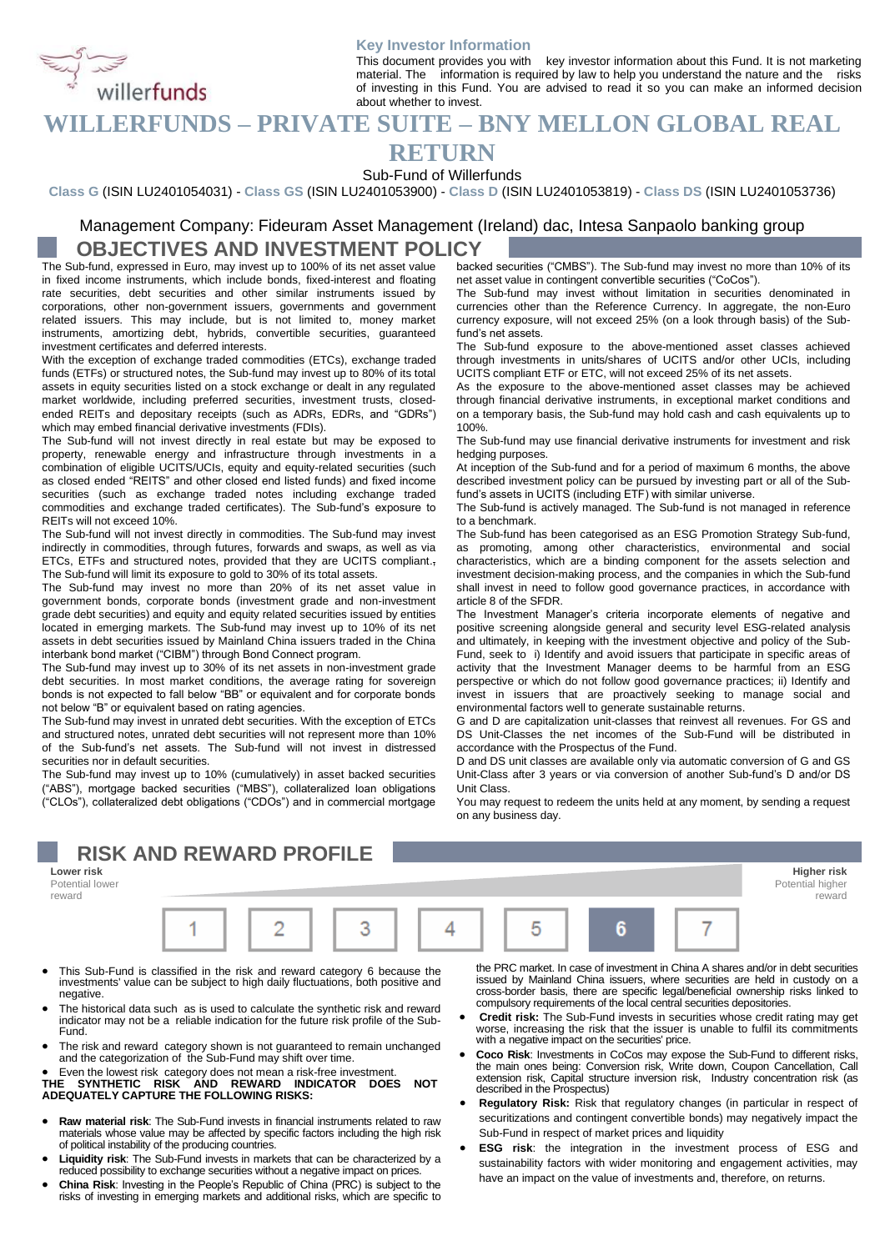

#### **Key Investor Information**

This document provides you with key investor information about this Fund. It is not marketing material. The information is required by law to help you understand the nature and the risks of investing in this Fund. You are advised to read it so you can make an informed decision about whether to invest. This document provides you with key investor information about unservants in the second of the community of the material. The information is required by law to help you understand the nature and the respectively the proper

# **RETURN**

Sub-Fund of Willerfunds

**Class G** (ISIN LU2401054031) - **Class GS** (ISIN LU2401053900) - **Class D** (ISIN LU2401053819) - **Class DS** (ISIN LU2401053736)

### Management Company: Fideuram Asset Management (Ireland) dac, Intesa Sanpaolo banking group **OBJECTIVES AND INVESTMENT POLICY**

The Sub-fund, expressed in Euro, may invest up to 100% of its net asset value in fixed income instruments, which include bonds, fixed-interest and floating rate securities, debt securities and other similar instruments issued by corporations, other non-government issuers, governments and government related issuers. This may include, but is not limited to, money market instruments, amortizing debt, hybrids, convertible securities, guaranteed investment certificates and deferred interests.

With the exception of exchange traded commodities (ETCs), exchange traded funds (ETFs) or structured notes, the Sub-fund may invest up to 80% of its total assets in equity securities listed on a stock exchange or dealt in any regulated market worldwide, including preferred securities, investment trusts, closedended REITs and depositary receipts (such as ADRs, EDRs, and "GDRs") which may embed financial derivative investments (FDIs).

The Sub-fund will not invest directly in real estate but may be exposed to property, renewable energy and infrastructure through investments in a combination of eligible UCITS/UCIs, equity and equity-related securities (such as closed ended "REITS" and other closed end listed funds) and fixed income securities (such as exchange traded notes including exchange traded commodities and exchange traded certificates). The Sub-fund's exposure to REITs will not exceed 10%.

The Sub-fund will not invest directly in commodities. The Sub-fund may invest indirectly in commodities, through futures, forwards and swaps, as well as via ETCs, ETFs and structured notes, provided that they are UCITS compliant., The Sub-fund will limit its exposure to gold to 30% of its total assets.

The Sub-fund may invest no more than 20% of its net asset value in government bonds, corporate bonds (investment grade and non-investment grade debt securities) and equity and equity related securities issued by entities located in emerging markets. The Sub-fund may invest up to 10% of its net assets in debt securities issued by Mainland China issuers traded in the China interbank bond market ("CIBM") through Bond Connect program.

The Sub-fund may invest up to 30% of its net assets in non-investment grade debt securities. In most market conditions, the average rating for sovereign bonds is not expected to fall below "BB" or equivalent and for corporate bonds not below "B" or equivalent based on rating agencies.

The Sub-fund may invest in unrated debt securities. With the exception of ETCs and structured notes, unrated debt securities will not represent more than 10% of the Sub-fund's net assets. The Sub-fund will not invest in distressed securities nor in default securities.

The Sub-fund may invest up to 10% (cumulatively) in asset backed securities ("ABS"), mortgage backed securities ("MBS"), collateralized loan obligations ("CLOs"), collateralized debt obligations ("CDOs") and in commercial mortgage

# **RISK AND REWARD PROFILE**

**Lower risk Higher risk** Potential lower reward



- This Sub-Fund is classified in the risk and reward category 6 because the investments' value can be subject to high daily fluctuations, both positive and negative.
- The historical data such as is used to calculate the synthetic risk and reward indicator may not be a reliable indication for the future risk profile of the Sub-Fund.
- The risk and reward category shown is not guaranteed to remain unchanged and the categorization of the Sub-Fund may shift over time.
- 

• Even the lowest risk category does not mean a risk-free investment. **THE SYNTHETIC RISK AND REWARD INDICATOR DOES NOT ADEQUATELY CAPTURE THE FOLLOWING RISKS:**

- **Raw material risk**: The Sub-Fund invests in financial instruments related to raw materials whose value may be affected by specific factors including the high risk of political instability of the producing countries.
- **Liquidity risk**: The Sub-Fund invests in markets that can be characterized by a reduced possibility to exchange securities without a negative impact on prices.
- **China Risk**: Investing in the People's Republic of China (PRC) is subject to the risks of investing in emerging markets and additional risks, which are specific to

backed securities ("CMBS"). The Sub-fund may invest no more than 10% of its net asset value in contingent convertible securities ("CoCos").

The Sub-fund may invest without limitation in securities denominated in currencies other than the Reference Currency. In aggregate, the non-Euro currency exposure, will not exceed 25% (on a look through basis) of the Subfund's net assets.

The Sub-fund exposure to the above-mentioned asset classes achieved through investments in units/shares of UCITS and/or other UCIs, including UCITS compliant ETF or ETC, will not exceed 25% of its net assets.

As the exposure to the above-mentioned asset classes may be achieved through financial derivative instruments, in exceptional market conditions and on a temporary basis, the Sub-fund may hold cash and cash equivalents up to 100%.

The Sub-fund may use financial derivative instruments for investment and risk hedging purposes.

At inception of the Sub-fund and for a period of maximum 6 months, the above described investment policy can be pursued by investing part or all of the Subfund's assets in UCITS (including ETF) with similar universe.

The Sub-fund is actively managed. The Sub-fund is not managed in reference to a benchmark.

The Sub-fund has been categorised as an ESG Promotion Strategy Sub-fund, as promoting, among other characteristics, environmental and social characteristics, which are a binding component for the assets selection and investment decision-making process, and the companies in which the Sub-fund shall invest in need to follow good governance practices, in accordance with article 8 of the SFDR.

The Investment Manager's criteria incorporate elements of negative and positive screening alongside general and security level ESG-related analysis and ultimately, in keeping with the investment objective and policy of the Sub-Fund, seek to i) Identify and avoid issuers that participate in specific areas of activity that the Investment Manager deems to be harmful from an ESG perspective or which do not follow good governance practices; ii) Identify and invest in issuers that are proactively seeking to manage social and environmental factors well to generate sustainable returns.

G and D are capitalization unit-classes that reinvest all revenues. For GS and DS Unit-Classes the net incomes of the Sub-Fund will be distributed in accordance with the Prospectus of the Fund.

D and DS unit classes are available only via automatic conversion of G and GS Unit-Class after 3 years or via conversion of another Sub-fund's D and/or DS Unit Class.

You may request to redeem the units held at any moment, by sending a request on any business day.

the PRC market. In case of investment in China A shares and/or in debt securities issued by Mainland China issuers, where securities are held in custody on a cross-border basis, there are specific legal/beneficial ownership risks linked to compulsory requirements of the local central securities depositories.

reward

- **Credit risk:** The Sub-Fund invests in securities whose credit rating may get worse, increasing the risk that the issuer is unable to fulfil its commitments with a negative impact on the securities' price.
- **Coco Risk**: Investments in CoCos may expose the Sub-Fund to different risks, the main ones being: Conversion risk, Write down, Coupon Cancellation, Call extension risk, Capital structure inversion risk, Industry concentration risk (as described in the Prospectus)
- **Regulatory Risk:** Risk that regulatory changes (in particular in respect of securitizations and contingent convertible bonds) may negatively impact the Sub-Fund in respect of market prices and liquidity
- **ESG risk**: the integration in the investment process of ESG and sustainability factors with wider monitoring and engagement activities, may have an impact on the value of investments and, therefore, on returns.